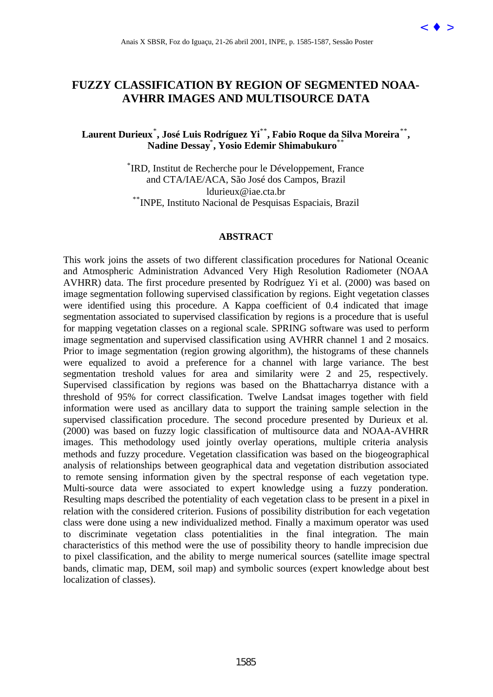# **FUZZY CLASSIFICATION BY REGION OF SEGMENTED NOAA-AVHRR IMAGES AND MULTISOURCE DATA**

# **Laurent Durieux**\* **, José Luis Rodríguez Yi**\*\***, Fabio Roque da Silva Moreira**\*\***, Nadine Dessay**\* **, Yosio Edemir Shimabukuro**\*\*

\* IRD, Institut de Recherche pour le Développement, France and CTA/IAE/ACA, São José dos Campos, Brazil ldurieux@iae.cta.br<br><sup>\*\*</sup>INPE, Instituto Nacional de Pesquisas Espaciais, Brazil

#### **ABSTRACT**

This work joins the assets of two different classification procedures for National Oceanic and Atmospheric Administration Advanced Very High Resolution Radiometer (NOAA AVHRR) data. The first procedure presented by Rodríguez Yi et al. (2000) was based on image segmentation following supervised classification by regions. Eight vegetation classes were identified using this procedure. A Kappa coefficient of 0.4 indicated that image segmentation associated to supervised classification by regions is a procedure that is useful for mapping vegetation classes on a regional scale. SPRING software was used to perform image segmentation and supervised classification using AVHRR channel 1 and 2 mosaics. Prior to image segmentation (region growing algorithm), the histograms of these channels were equalized to avoid a preference for a channel with large variance. The best segmentation treshold values for area and similarity were 2 and 25, respectively. Supervised classification by regions was based on the Bhattacharrya distance with a threshold of 95% for correct classification. Twelve Landsat images together with field information were used as ancillary data to support the training sample selection in the supervised classification procedure. The second procedure presented by Durieux et al. (2000) was based on fuzzy logic classification of multisource data and NOAA-AVHRR images. This methodology used jointly overlay operations, multiple criteria analysis methods and fuzzy procedure. Vegetation classification was based on the biogeographical analysis of relationships between geographical data and vegetation distribution associated to remote sensing information given by the spectral response of each vegetation type. Multi-source data were associated to expert knowledge using a fuzzy ponderation. Resulting maps described the potentiality of each vegetation class to be present in a pixel in relation with the considered criterion. Fusions of possibility distribution for each vegetation class were done using a new individualized method. Finally a maximum operator was used to discriminate vegetation class potentialities in the final integration. The main characteristics of this method were the use of possibility theory to handle imprecision due to pixel classification, and the ability to merge numerical sources (satellite image spectral bands, climatic map, DEM, soil map) and symbolic sources (expert knowledge about best localization of classes). Anni X SBSR, Foz do Iguaçu, 21-26 abril 2001, ISBN, 1585-1587, Sessão Poster  $\epsilon \Phi$  [>](goto-/dpi.inpe.br/lise/2001/09.24.09.14) ANAIR LASSIFICATION BY REGION OF SEGMENTED NOAA-<br>AVIIRR IMAGES AND MULTISOURCE DATA<br>
Nation Dessay, Yosio Edentri Shimaholskovi<br>
"Media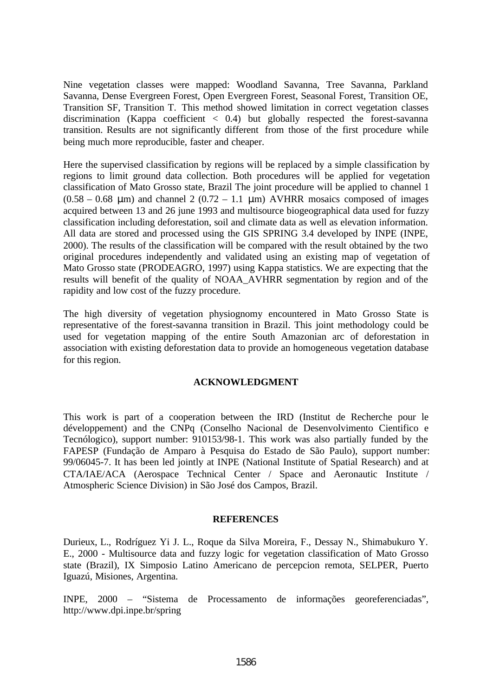Nine vegetation classes were mapped: Woodland Savanna, Tree Savanna, Parkland Savanna, Dense Evergreen Forest, Open Evergreen Forest, Seasonal Forest, Transition OE, Transition SF, Transition T. This method showed limitation in correct vegetation classes discrimination (Kappa coefficient < 0.4) but globally respected the forest-savanna transition. Results are not significantly different from those of the first procedure while being much more reproducible, faster and cheaper.

Here the supervised classification by regions will be replaced by a simple classification by regions to limit ground data collection. Both procedures will be applied for vegetation classification of Mato Grosso state, Brazil The joint procedure will be applied to channel 1  $(0.58 - 0.68 \mu m)$  and channel 2  $(0.72 - 1.1 \mu m)$  AVHRR mosaics composed of images acquired between 13 and 26 june 1993 and multisource biogeographical data used for fuzzy classification including deforestation, soil and climate data as well as elevation information. All data are stored and processed using the GIS SPRING 3.4 developed by INPE (INPE, 2000). The results of the classification will be compared with the result obtained by the two original procedures independently and validated using an existing map of vegetation of Mato Grosso state (PRODEAGRO, 1997) using Kappa statistics. We are expecting that the results will benefit of the quality of NOAA\_AVHRR segmentation by region and of the rapidity and low cost of the fuzzy procedure.

The high diversity of vegetation physiognomy encountered in Mato Grosso State is representative of the forest-savanna transition in Brazil. This joint methodology could be used for vegetation mapping of the entire South Amazonian arc of deforestation in association with existing deforestation data to provide an homogeneous vegetation database for this region.

### **ACKNOWLEDGMENT**

This work is part of a cooperation between the IRD (Institut de Recherche pour le développement) and the CNPq (Conselho Nacional de Desenvolvimento Cientifico e Tecnólogico), support number: 910153/98-1. This work was also partially funded by the FAPESP (Fundação de Amparo à Pesquisa do Estado de São Paulo), support number: 99/06045-7. It has been led jointly at INPE (National Institute of Spatial Research) and at CTA/IAE/ACA (Aerospace Technical Center / Space and Aeronautic Institute / Atmospheric Science Division) in São José dos Campos, Brazil.

### **REFERENCES**

Durieux, L., Rodríguez Yi J. L., Roque da Silva Moreira, F., Dessay N., Shimabukuro Y. E., 2000 - Multisource data and fuzzy logic for vegetation classification of Mato Grosso state (Brazil), IX Simposio Latino Americano de percepcion remota, SELPER, Puerto Iguazú, Misiones, Argentina.

INPE, 2000 – "Sistema de Processamento de informações georeferenciadas", http://www.dpi.inpe.br/spring